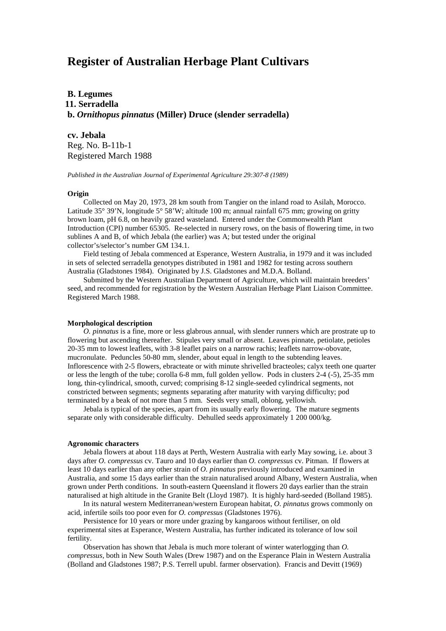# **Register of Australian Herbage Plant Cultivars**

**B. Legumes 11. Serradella b.** *Ornithopus pinnatus* **(Miller) Druce (slender serradella)**

**cv. Jebala** Reg. No. B-11b-1

Registered March 1988

*Published in the Australian Journal of Experimental Agriculture 29:307-8 (1989)*

## **Origin**

Collected on May 20, 1973, 28 km south from Tangier on the inland road to Asilah, Morocco. Latitude 35° 39'N, longitude 5° 58'W; altitude 100 m; annual rainfall 675 mm; growing on gritty brown loam, pH 6.8, on heavily grazed wasteland. Entered under the Commonwealth Plant Introduction (CPI) number 65305. Re-selected in nursery rows, on the basis of flowering time, in two sublines A and B, of which Jebala (the earlier) was A; but tested under the original collector's/selector's number GM 134.1.

Field testing of Jebala commenced at Esperance, Western Australia, in 1979 and it was included in sets of selected serradella genotypes distributed in 1981 and 1982 for testing across southern Australia (Gladstones 1984). Originated by J.S. Gladstones and M.D.A. Bolland.

Submitted by the Western Australian Department of Agriculture, which will maintain breeders' seed, and recommended for registration by the Western Australian Herbage Plant Liaison Committee. Registered March 1988.

## **Morphological description**

*O. pinnatus* is a fine, more or less glabrous annual, with slender runners which are prostrate up to flowering but ascending thereafter. Stipules very small or absent. Leaves pinnate, petiolate, petioles 20-35 mm to lowest leaflets, with 3-8 leaflet pairs on a narrow rachis; leaflets narrow-obovate, mucronulate. Peduncles 50-80 mm, slender, about equal in length to the subtending leaves. Inflorescence with 2-5 flowers, ebracteate or with minute shrivelled bracteoles; calyx teeth one quarter or less the length of the tube; corolla 6-8 mm, full golden yellow. Pods in clusters 2-4 (-5), 25-35 mm long, thin-cylindrical, smooth, curved; comprising 8-12 single-seeded cylindrical segments, not constricted between segments; segments separating after maturity with varying difficulty; pod terminated by a beak of not more than 5 mm. Seeds very small, oblong, yellowish.

Jebala is typical of the species, apart from its usually early flowering. The mature segments separate only with considerable difficulty. Dehulled seeds approximately 1 200 000/kg.

#### **Agronomic characters**

Jebala flowers at about 118 days at Perth, Western Australia with early May sowing, i.e. about 3 days after *O. compressus* cv. Tauro and 10 days earlier than *O. compressus* cv. Pitman. If flowers at least 10 days earlier than any other strain of *O. pinnatus* previously introduced and examined in Australia, and some 15 days earlier than the strain naturalised around Albany, Western Australia, when grown under Perth conditions. In south-eastern Queensland it flowers 20 days earlier than the strain naturalised at high altitude in the Granite Belt (Lloyd 1987). It is highly hard-seeded (Bolland 1985).

In its natural western Mediterranean/western European habitat, *O. pinnatus* grows commonly on acid, infertile soils too poor even for *O. compressus* (Gladstones 1976).

Persistence for 10 years or more under grazing by kangaroos without fertiliser, on old experimental sites at Esperance, Western Australia, has further indicated its tolerance of low soil fertility.

Observation has shown that Jebala is much more tolerant of winter waterlogging than *O. compressus,* both in New South Wales (Drew 1987) and on the Esperance Plain in Western Australia (Bolland and Gladstones 1987; P.S. Terrell upubl. farmer observation). Francis and Devitt (1969)